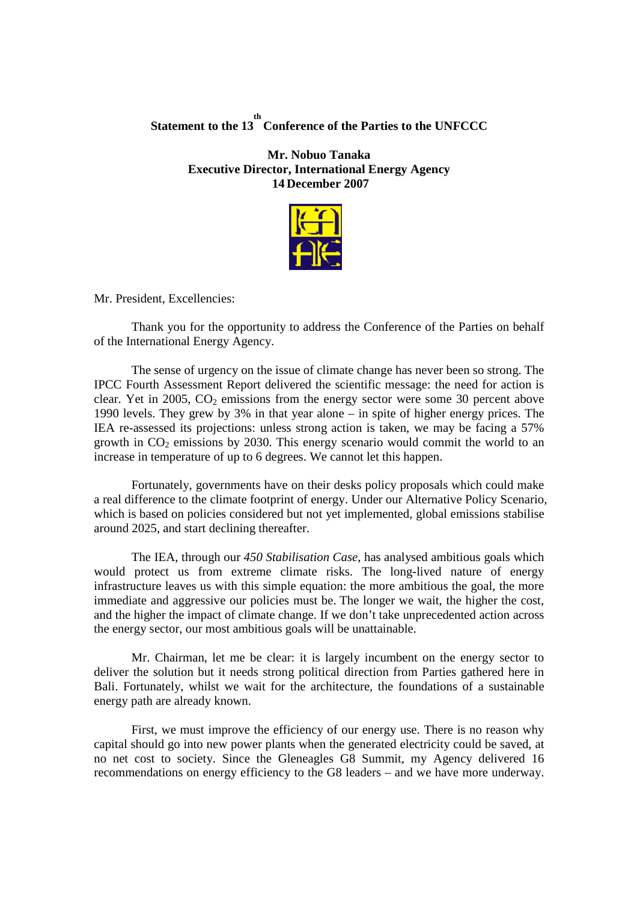## **Statement to the 13 th Conference of the Parties to the UNFCCC**

**Mr. Nobuo Tanaka Executive Director, International Energy Agency 14 December 2007**



Mr. President, Excellencies:

Thank you for the opportunity to address the Conference of the Parties on behalf of the International Energy Agency.

The sense of urgency on the issue of climate change has never been so strong. The IPCC Fourth Assessment Report delivered the scientific message: the need for action is clear. Yet in 2005,  $CO<sub>2</sub>$  emissions from the energy sector were some 30 percent above 1990 levels. They grew by 3% in that year alone – in spite of higher energy prices. The IEA re-assessed its projections: unless strong action is taken, we may be facing a 57% growth in  $CO<sub>2</sub>$  emissions by 2030. This energy scenario would commit the world to an increase in temperature of up to 6 degrees. We cannot let this happen.

Fortunately, governments have on their desks policy proposals which could make a real difference to the climate footprint of energy. Under our Alternative Policy Scenario, which is based on policies considered but not yet implemented, global emissions stabilise around 2025, and start declining thereafter.

The IEA, through our *450 Stabilisation Case*, has analysed ambitious goals which would protect us from extreme climate risks. The long-lived nature of energy infrastructure leaves us with this simple equation: the more ambitious the goal, the more immediate and aggressive our policies must be. The longer we wait, the higher the cost, and the higher the impact of climate change. If we don't take unprecedented action across the energy sector, our most ambitious goals will be unattainable.

Mr. Chairman, let me be clear: it is largely incumbent on the energy sector to deliver the solution but it needs strong political direction from Parties gathered here in Bali. Fortunately, whilst we wait for the architecture, the foundations of a sustainable energy path are already known.

First, we must improve the efficiency of our energy use. There is no reason why capital should go into new power plants when the generated electricity could be saved, at no net cost to society. Since the Gleneagles G8 Summit, my Agency delivered 16 recommendations on energy efficiency to the G8 leaders – and we have more underway.